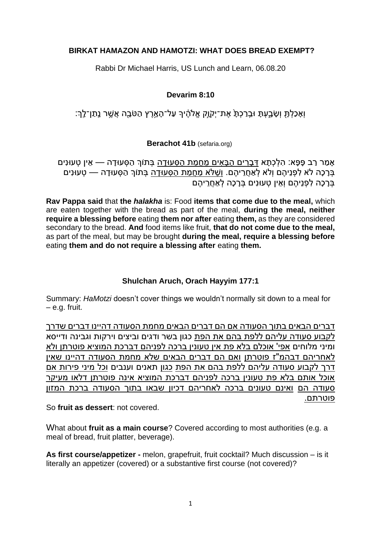## **BIRKAT HAMAZON AND HAMOTZI: WHAT DOES BREAD EXEMPT?**

Rabbi Dr Michael Harris, US Lunch and Learn, 06.08.20

### **Devarim 8:10**

וְאָכַלְתָּ וְשָׂבָעְתָּ וּבֵרַכְתָּ אֶת־יְקָׂוֶק אֱלֹהֶ֫יִךְ עַל־הָאֶרֵץ הַטֹּבָה אֲשֵׁר נֵתַן־לֵֽךְ׃

**Berachot 41b** (sefaria.org)

אָמַר רַב פָּפָא: הִלְכְתָא <u>דְּבָרִים הַבָּאִים מֵחַמַּת הַסְּעוּדָה</u> בְּתוֹךְ הַסְּעוּדָה — אֵין טְעוּנִים ָ בְּרָכָה לֹא לְפָנֵיהֶם וְלֹא לְאֶחֶרֶיהֶם. וְשֶׁלֹא מֶחֲמָת הַסְּעוּדָה בְּתוֹךְ הַסְּעוּדָה — טְעוּנִים בְּרָכָה לְפְנֵיהֶם וְאֵין טְעוּנִים בְּרָכָה לְאַחֲרֵיהֶם

**Rav Pappa said** that **the** *halakha* is: Food **items that come due to the meal,** which are eaten together with the bread as part of the meal, **during the meal, neither require a blessing before** eating **them nor after** eating **them,** as they are considered secondary to the bread. **And** food items like fruit, **that do not come due to the meal,** as part of the meal, but may be brought **during the meal, require a blessing before** eating **them and do not require a blessing after** eating **them.**

### **Shulchan Aruch, Orach Hayyim 177:1**

Summary: *HaMotzi* doesn't cover things we wouldn't normally sit down to a meal for – e.g. fruit.

דברים הבאים בתוך הסעודה אם הם דברים הבאים מחמת הסעודה דהיינו דברים שדרך לקבוע סעודה עליהם ללפת בהם את הפת כגון בשר ודגים וביצים וירקות וגבינה ודייסא ומיני מלוחים אפי' אוכלם בלא פת אין טעונין ברכה לפניהם דברכת המוציא פוטרתן ולא לאחריהם דבהמ"ז פוטרתן ואם הם דברים הבאים שלא מחמת הסעודה דהיינו שאין דרך לקבוע סעודה עליהם ללפת בהם את הפת כגון תאנים וענבים וכל מיני פירות אם אוכל אותם בלא פת טעונין ברכה לפניהם דברכת המוציא אינה פוטרתן דלאו מעיקר סעודה הם ואינם טעונים ברכה לאחריהם דכיון שבאו בתוך הסעודה ברכת המזון פוטרתם .

So **fruit as dessert**: not covered.

What about **fruit as a main course**? Covered according to most authorities (e.g. a meal of bread, fruit platter, beverage).

**As first course/appetizer -** melon, grapefruit, fruit cocktail? Much discussion – is it literally an appetizer (covered) or a substantive first course (not covered)?